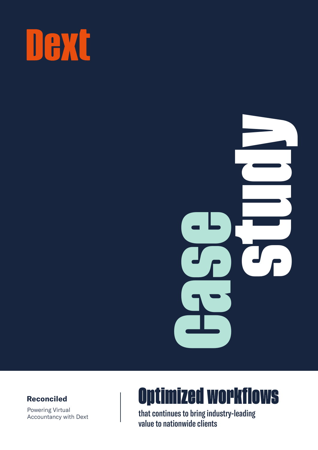



### **Reconciled**

Powering Virtual Accountancy with Dext

# Optimized workflows

that continues to bring industry-leading value to nationwide clients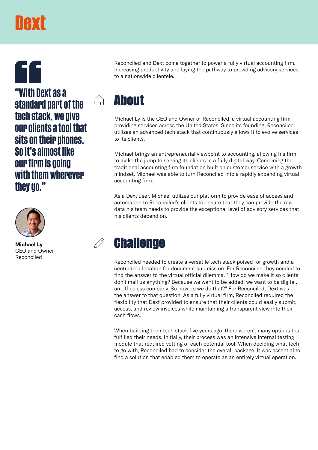# **TAXT**

**Bouth Dext as a**<br>standard part of the  $\qquad \widehat{\circ}$  **About tech stack, we give our clients a tool that sits on their phones. So it's almost like our firm is going with them wherever they go."**



Reconciled

Reconciled and Dext come together to power a fully virtual accounting firm, increasing productivity and laying the pathway to providing advisory services to a nationwide clientele.

Michael Ly is the CEO and Owner of Reconciled, a virtual accounting firm providing services across the United States. Since its founding, Reconciled utilizes an advanced tech stack that continuously allows it to evolve services to its clients.

Michael brings an entrepreneurial viewpoint to accounting, allowing his firm to make the jump to serving its clients in a fully digital way. Combining the traditional accounting firm foundation built on customer service with a growth mindset, Michael was able to turn Reconciled into a rapidly expanding virtual accounting firm.

As a Dext user, Michael utilizes our platform to provide ease of access and automation to Reconciled's clients to ensure that they can provide the raw data his team needs to provide the exceptional level of advisory services that his clients depend on.

## Michael Ly **Challenge**

Reconciled needed to create a versatile tech stack poised for growth and a centralized location for document submission. For Reconciled they needed to find the answer to the virtual official dilemma. "How do we make it so clients don't mail us anything? Because we want to be added, we want to be digital, an officeless company. So how do we do that?" For Reconciled, Dext was the answer to that question. As a fully virtual firm, Reconciled required the flexibility that Dext provided to ensure that their clients could easily submit, access, and review invoices while maintaining a transparent view into their cash flows.

When building their tech stack five years ago, there weren't many options that fulfilled their needs. Initially, their process was an intensive internal testing module that required vetting of each potential tool. When deciding what tech to go with, Reconciled had to consider the overall package. It was essential to find a solution that enabled them to operate as an entirely virtual operation.